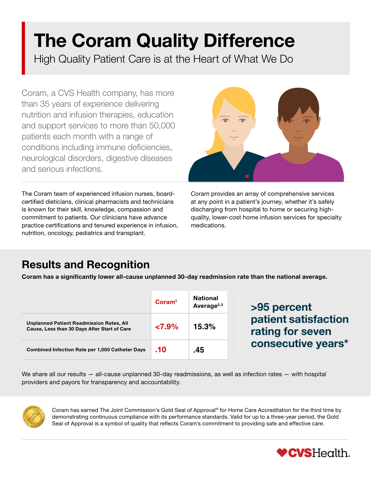# The Coram Quality Difference

High Quality Patient Care is at the Heart of What We Do

Coram, a CVS Health company, has more than 35 years of experience delivering nutrition and infusion therapies, education and support services to more than 50,000 patients each month with a range of conditions including immune deficiencies, neurological disorders, digestive diseases and serious infections.

The Coram team of experienced infusion nurses, boardcertified dieticians, clinical pharmacists and technicians is known for their skill, knowledge, compassion and commitment to patients. Our clinicians have advance practice certifications and tenured experience in infusion, nutrition, oncology, pediatrics and transplant.



Coram provides an array of comprehensive services at any point in a patient's journey, whether it's safely discharging from hospital to home or securing highquality, lower-cost home infusion services for specialty medications.

### Results and Recognition

Coram has a significantly lower all-cause unplanned 30-day readmission rate than the national average.

|                                                                                                 | Coram <sup>1</sup> | <b>National</b><br>Average <sup>2,3</sup> |  |
|-------------------------------------------------------------------------------------------------|--------------------|-------------------------------------------|--|
| <b>Unplanned Patient Readmission Rates, All</b><br>Cause, Less than 30 Days After Start of Care | $27.9\%$           | 15.3%                                     |  |
| <b>Combined Infection Rate per 1,000 Catheter Days</b>                                          | .10                | .45                                       |  |

>95 percent patient satisfaction rating for seven consecutive years\*

We share all our results — all-cause unplanned 30-day readmissions, as well as infection rates — with hospital providers and payors for transparency and accountability.



Coram has earned The Joint Commission's Gold Seal of Approval® for Home Care Accreditation for the third time by demonstrating continuous compliance with its performance standards. Valid for up to a three-year period, the Gold Seal of Approval is a symbol of quality that reflects Coram's commitment to providing safe and effective care.